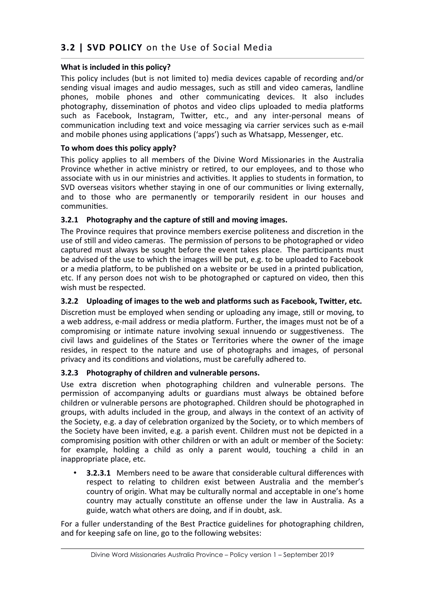# **What is included in this policy?**

This policy includes (but is not limited to) media devices capable of recording and/or sending visual images and audio messages, such as still and video cameras, landline phones, mobile phones and other communicating devices. It also includes photography, dissemination of photos and video clips uploaded to media platforms such as Facebook, Instagram, Twitter, etc., and any inter-personal means of communication including text and voice messaging via carrier services such as e-mail and mobile phones using applications ('apps') such as Whatsapp, Messenger, etc.

## **To whom does this policy apply?**

This policy applies to all members of the Divine Word Missionaries in the Australia Province whether in active ministry or retired, to our employees, and to those who associate with us in our ministries and activities. It applies to students in formation, to SVD overseas visitors whether staying in one of our communities or living externally, and to those who are permanently or temporarily resident in our houses and communities.

## **3.2.1 Photography and the capture of still and moving images.**

The Province requires that province members exercise politeness and discretion in the use of still and video cameras. The permission of persons to be photographed or video captured must always be sought before the event takes place. The participants must be advised of the use to which the images will be put, e.g. to be uploaded to Facebook or a media platform, to be published on a website or be used in a printed publication, etc. If any person does not wish to be photographed or captured on video, then this wish must be respected.

# **3.2.2 Uploading of images to the web and platforms such as Facebook, Twitter, etc.**

Discretion must be employed when sending or uploading any image, still or moving, to a web address, e-mail address or media platform. Further, the images must not be of a compromising or intimate nature involving sexual innuendo or suggestiveness. The civil laws and guidelines of the States or Territories where the owner of the image resides, in respect to the nature and use of photographs and images, of personal privacy and its conditions and violations, must be carefully adhered to.

#### **3.2.3 Photography of children and vulnerable persons.**

Use extra discretion when photographing children and vulnerable persons. The permission of accompanying adults or guardians must always be obtained before children or vulnerable persons are photographed. Children should be photographed in groups, with adults included in the group, and always in the context of an activity of the Society, e.g. a day of celebration organized by the Society, or to which members of the Society have been invited, e.g. a parish event. Children must not be depicted in a compromising position with other children or with an adult or member of the Society: for example, holding a child as only a parent would, touching a child in an inappropriate place, etc.

• **3.2.3.1** Members need to be aware that considerable cultural differences with respect to relating to children exist between Australia and the member's country of origin. What may be culturally normal and acceptable in one's home country may actually constitute an offense under the law in Australia. As a guide, watch what others are doing, and if in doubt, ask.

For a fuller understanding of the Best Practice guidelines for photographing children, and for keeping safe on line, go to the following websites: